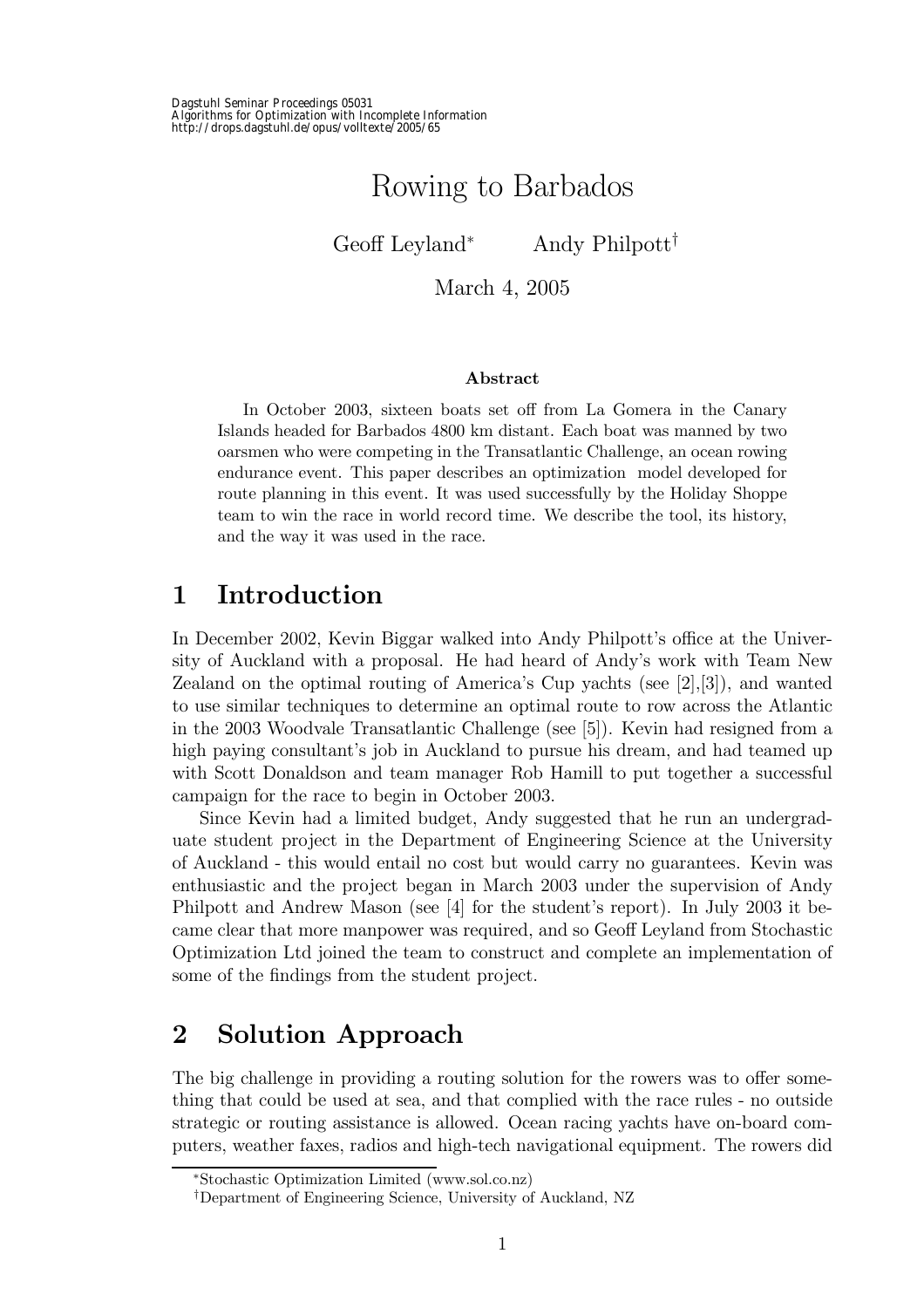# Rowing to Barbados

Geoff Leyland<sup>∗</sup> Andy Philpott†

March 4, 2005

#### Abstract

In October 2003, sixteen boats set off from La Gomera in the Canary Islands headed for Barbados 4800 km distant. Each boat was manned by two oarsmen who were competing in the Transatlantic Challenge, an ocean rowing endurance event. This paper describes an optimization model developed for route planning in this event. It was used successfully by the Holiday Shoppe team to win the race in world record time. We describe the tool, its history, and the way it was used in the race.

# 1 Introduction

In December 2002, Kevin Biggar walked into Andy Philpott's office at the University of Auckland with a proposal. He had heard of Andy's work with Team New Zealand on the optimal routing of America's Cup yachts (see  $[2],[3]$ ), and wanted to use similar techniques to determine an optimal route to row across the Atlantic in the 2003 Woodvale Transatlantic Challenge (see [5]). Kevin had resigned from a high paying consultant's job in Auckland to pursue his dream, and had teamed up with Scott Donaldson and team manager Rob Hamill to put together a successful campaign for the race to begin in October 2003.

Since Kevin had a limited budget, Andy suggested that he run an undergraduate student project in the Department of Engineering Science at the University of Auckland - this would entail no cost but would carry no guarantees. Kevin was enthusiastic and the project began in March 2003 under the supervision of Andy Philpott and Andrew Mason (see [4] for the student's report). In July 2003 it became clear that more manpower was required, and so Geoff Leyland from Stochastic Optimization Ltd joined the team to construct and complete an implementation of some of the findings from the student project.

# 2 Solution Approach

The big challenge in providing a routing solution for the rowers was to offer something that could be used at sea, and that complied with the race rules - no outside strategic or routing assistance is allowed. Ocean racing yachts have on-board computers, weather faxes, radios and high-tech navigational equipment. The rowers did

<sup>∗</sup>Stochastic Optimization Limited (www.sol.co.nz)

<sup>†</sup>Department of Engineering Science, University of Auckland, NZ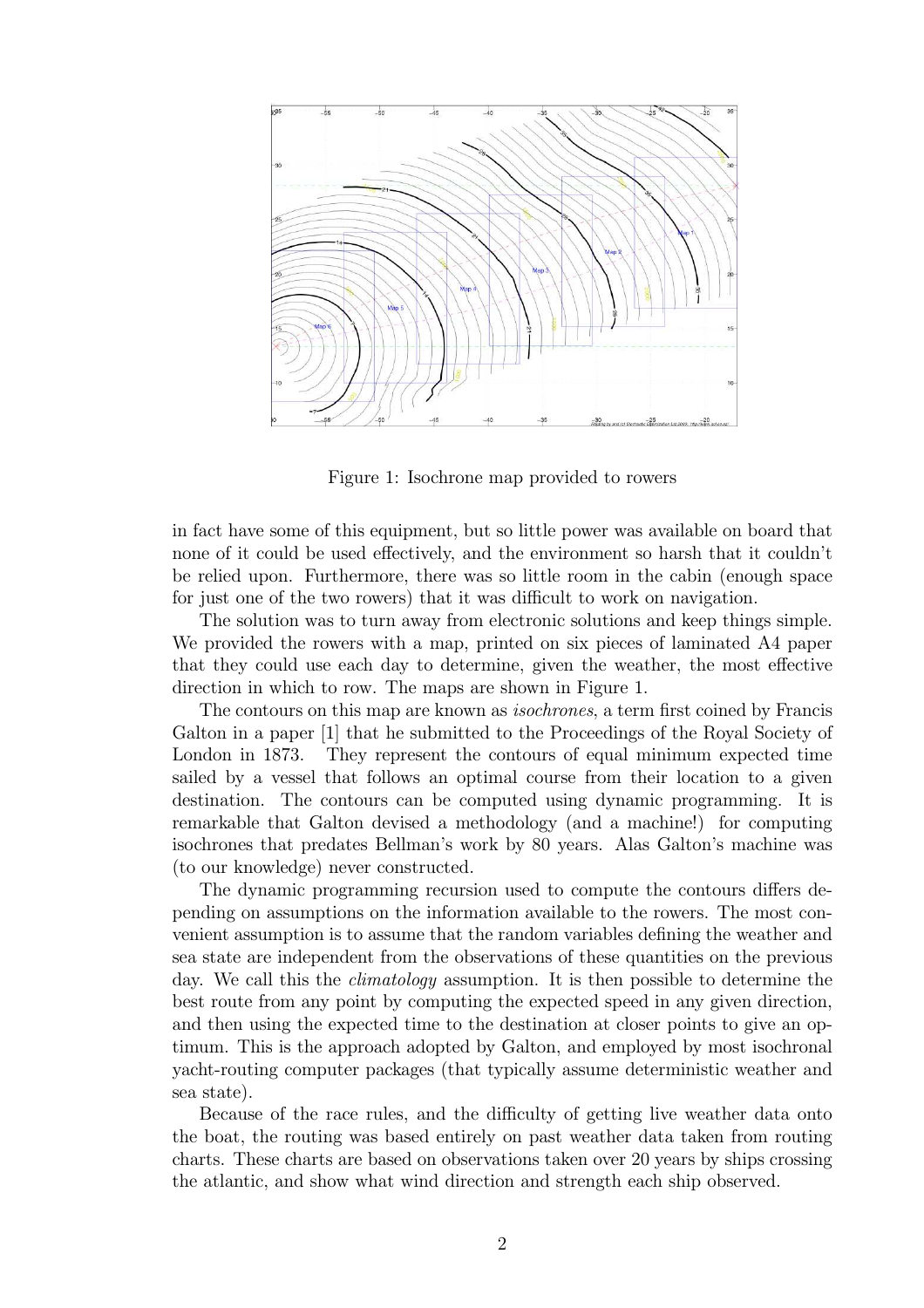

Figure 1: Isochrone map provided to rowers

in fact have some of this equipment, but so little power was available on board that none of it could be used effectively, and the environment so harsh that it couldn't be relied upon. Furthermore, there was so little room in the cabin (enough space for just one of the two rowers) that it was difficult to work on navigation.

The solution was to turn away from electronic solutions and keep things simple. We provided the rowers with a map, printed on six pieces of laminated A4 paper that they could use each day to determine, given the weather, the most effective direction in which to row. The maps are shown in Figure 1.

The contours on this map are known as isochrones, a term first coined by Francis Galton in a paper [1] that he submitted to the Proceedings of the Royal Society of London in 1873. They represent the contours of equal minimum expected time sailed by a vessel that follows an optimal course from their location to a given destination. The contours can be computed using dynamic programming. It is remarkable that Galton devised a methodology (and a machine!) for computing isochrones that predates Bellman's work by 80 years. Alas Galton's machine was (to our knowledge) never constructed.

The dynamic programming recursion used to compute the contours differs depending on assumptions on the information available to the rowers. The most convenient assumption is to assume that the random variables defining the weather and sea state are independent from the observations of these quantities on the previous day. We call this the *climatology* assumption. It is then possible to determine the best route from any point by computing the expected speed in any given direction, and then using the expected time to the destination at closer points to give an optimum. This is the approach adopted by Galton, and employed by most isochronal yacht-routing computer packages (that typically assume deterministic weather and sea state).

Because of the race rules, and the difficulty of getting live weather data onto the boat, the routing was based entirely on past weather data taken from routing charts. These charts are based on observations taken over 20 years by ships crossing the atlantic, and show what wind direction and strength each ship observed.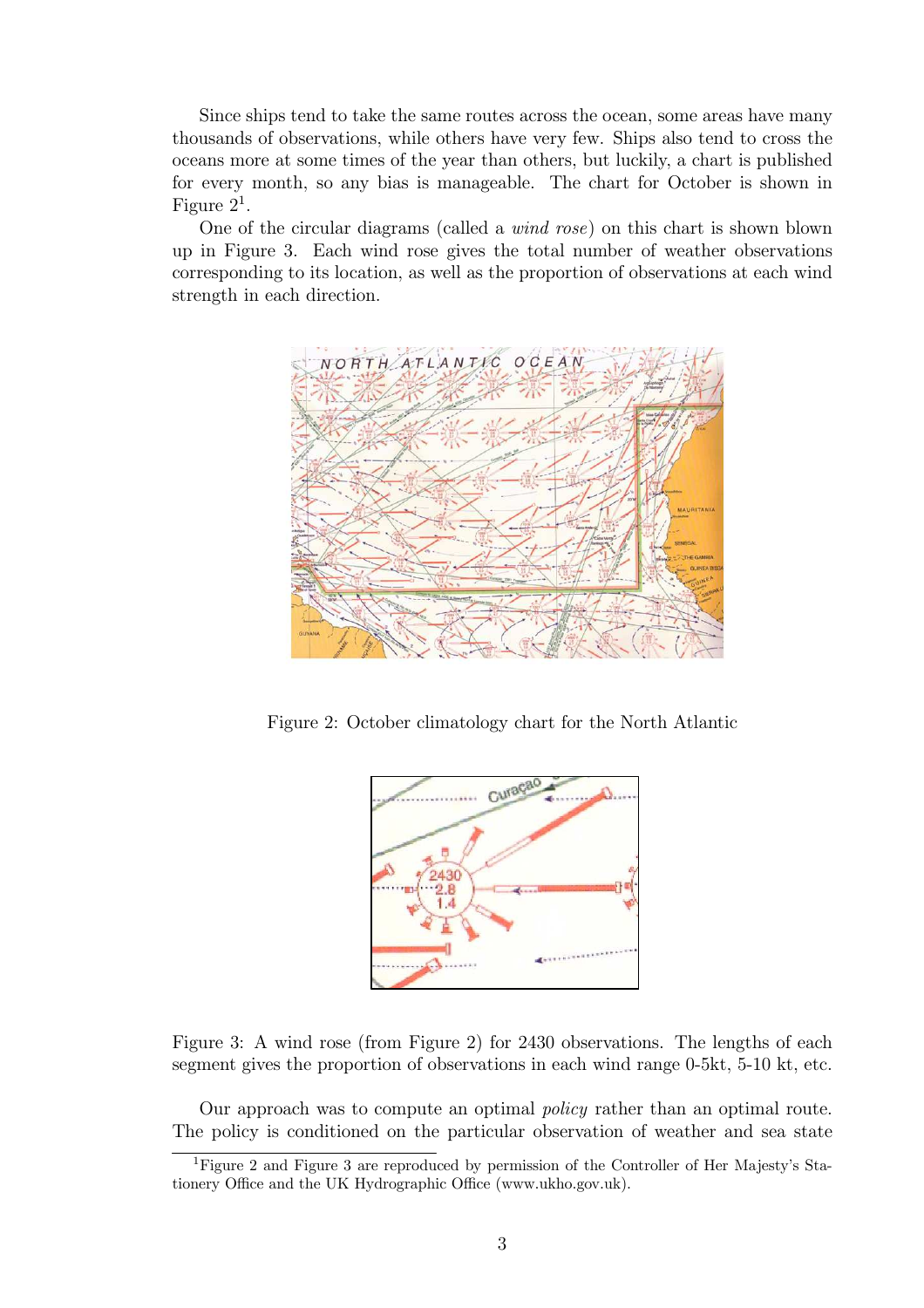Since ships tend to take the same routes across the ocean, some areas have many thousands of observations, while others have very few. Ships also tend to cross the oceans more at some times of the year than others, but luckily, a chart is published for every month, so any bias is manageable. The chart for October is shown in Figure  $2^1$ .

One of the circular diagrams (called a wind rose) on this chart is shown blown up in Figure 3. Each wind rose gives the total number of weather observations corresponding to its location, as well as the proportion of observations at each wind strength in each direction.



Figure 2: October climatology chart for the North Atlantic



Figure 3: A wind rose (from Figure 2) for 2430 observations. The lengths of each segment gives the proportion of observations in each wind range 0-5kt, 5-10 kt, etc.

Our approach was to compute an optimal policy rather than an optimal route. The policy is conditioned on the particular observation of weather and sea state

<sup>&</sup>lt;sup>1</sup>Figure 2 and Figure 3 are reproduced by permission of the Controller of Her Majesty's Stationery Office and the UK Hydrographic Office (www.ukho.gov.uk).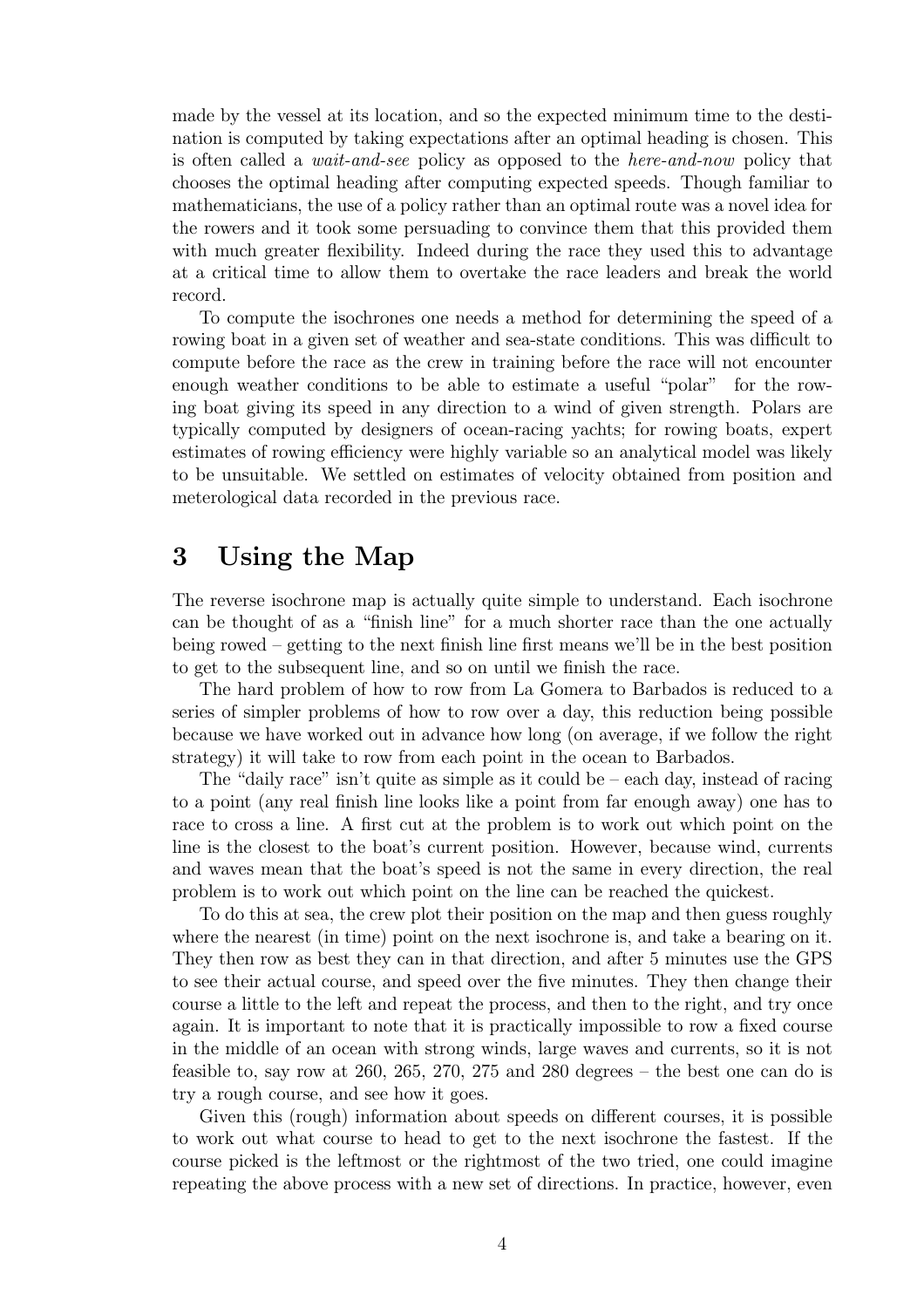made by the vessel at its location, and so the expected minimum time to the destination is computed by taking expectations after an optimal heading is chosen. This is often called a wait-and-see policy as opposed to the here-and-now policy that chooses the optimal heading after computing expected speeds. Though familiar to mathematicians, the use of a policy rather than an optimal route was a novel idea for the rowers and it took some persuading to convince them that this provided them with much greater flexibility. Indeed during the race they used this to advantage at a critical time to allow them to overtake the race leaders and break the world record.

To compute the isochrones one needs a method for determining the speed of a rowing boat in a given set of weather and sea-state conditions. This was difficult to compute before the race as the crew in training before the race will not encounter enough weather conditions to be able to estimate a useful "polar" for the rowing boat giving its speed in any direction to a wind of given strength. Polars are typically computed by designers of ocean-racing yachts; for rowing boats, expert estimates of rowing efficiency were highly variable so an analytical model was likely to be unsuitable. We settled on estimates of velocity obtained from position and meterological data recorded in the previous race.

### 3 Using the Map

The reverse isochrone map is actually quite simple to understand. Each isochrone can be thought of as a "finish line" for a much shorter race than the one actually being rowed — getting to the next finish line first means we'll be in the best position to get to the subsequent line, and so on until we finish the race.

The hard problem of how to row from La Gomera to Barbados is reduced to a series of simpler problems of how to row over a day, this reduction being possible because we have worked out in advance how long (on average, if we follow the right strategy) it will take to row from each point in the ocean to Barbados.

The "daily race" isn't quite as simple as it could be  $-$  each day, instead of racing to a point (any real finish line looks like a point from far enough away) one has to race to cross a line. A first cut at the problem is to work out which point on the line is the closest to the boat's current position. However, because wind, currents and waves mean that the boat's speed is not the same in every direction, the real problem is to work out which point on the line can be reached the quickest.

To do this at sea, the crew plot their position on the map and then guess roughly where the nearest (in time) point on the next isochrone is, and take a bearing on it. They then row as best they can in that direction, and after 5 minutes use the GPS to see their actual course, and speed over the five minutes. They then change their course a little to the left and repeat the process, and then to the right, and try once again. It is important to note that it is practically impossible to row a fixed course in the middle of an ocean with strong winds, large waves and currents, so it is not feasible to, say row at 260, 265, 270, 275 and 280 degrees  $-$  the best one can do is try a rough course, and see how it goes.

Given this (rough) information about speeds on different courses, it is possible to work out what course to head to get to the next isochrone the fastest. If the course picked is the leftmost or the rightmost of the two tried, one could imagine repeating the above process with a new set of directions. In practice, however, even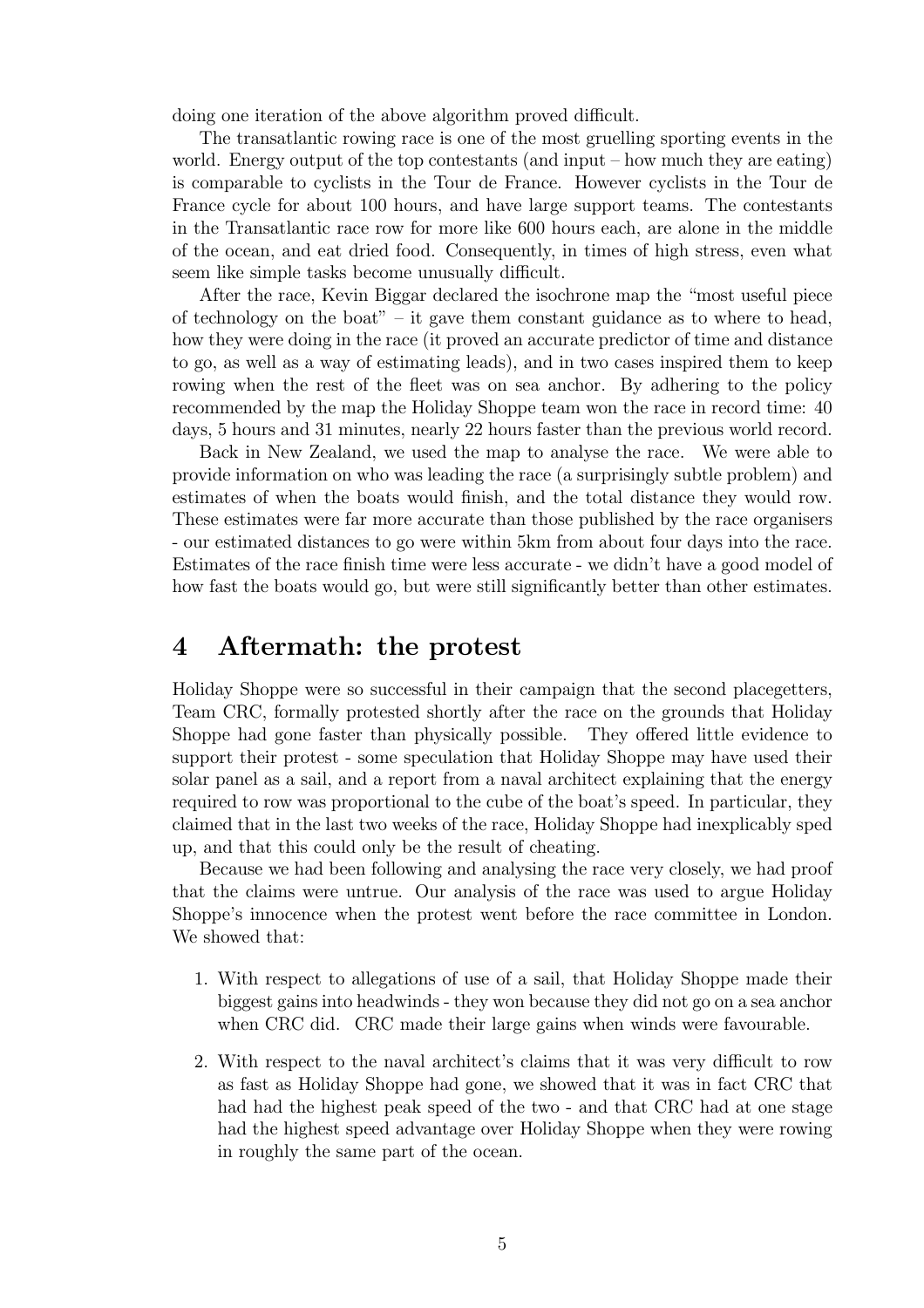doing one iteration of the above algorithm proved difficult.

The transatlantic rowing race is one of the most gruelling sporting events in the world. Energy output of the top contestants (and input — how much they are eating) is comparable to cyclists in the Tour de France. However cyclists in the Tour de France cycle for about 100 hours, and have large support teams. The contestants in the Transatlantic race row for more like 600 hours each, are alone in the middle of the ocean, and eat dried food. Consequently, in times of high stress, even what seem like simple tasks become unusually difficult.

After the race, Kevin Biggar declared the isochrone map the "most useful piece of technology on the boat"  $-$  it gave them constant guidance as to where to head, how they were doing in the race (it proved an accurate predictor of time and distance to go, as well as a way of estimating leads), and in two cases inspired them to keep rowing when the rest of the fleet was on sea anchor. By adhering to the policy recommended by the map the Holiday Shoppe team won the race in record time: 40 days, 5 hours and 31 minutes, nearly 22 hours faster than the previous world record.

Back in New Zealand, we used the map to analyse the race. We were able to provide information on who was leading the race (a surprisingly subtle problem) and estimates of when the boats would finish, and the total distance they would row. These estimates were far more accurate than those published by the race organisers - our estimated distances to go were within 5km from about four days into the race. Estimates of the race finish time were less accurate - we didn't have a good model of how fast the boats would go, but were still significantly better than other estimates.

#### 4 Aftermath: the protest

Holiday Shoppe were so successful in their campaign that the second placegetters, Team CRC, formally protested shortly after the race on the grounds that Holiday Shoppe had gone faster than physically possible. They offered little evidence to support their protest - some speculation that Holiday Shoppe may have used their solar panel as a sail, and a report from a naval architect explaining that the energy required to row was proportional to the cube of the boat's speed. In particular, they claimed that in the last two weeks of the race, Holiday Shoppe had inexplicably sped up, and that this could only be the result of cheating.

Because we had been following and analysing the race very closely, we had proof that the claims were untrue. Our analysis of the race was used to argue Holiday Shoppe's innocence when the protest went before the race committee in London. We showed that:

- 1. With respect to allegations of use of a sail, that Holiday Shoppe made their biggest gains into headwinds - they won because they did not go on a sea anchor when CRC did. CRC made their large gains when winds were favourable.
- 2. With respect to the naval architect's claims that it was very difficult to row as fast as Holiday Shoppe had gone, we showed that it was in fact CRC that had had the highest peak speed of the two - and that CRC had at one stage had the highest speed advantage over Holiday Shoppe when they were rowing in roughly the same part of the ocean.